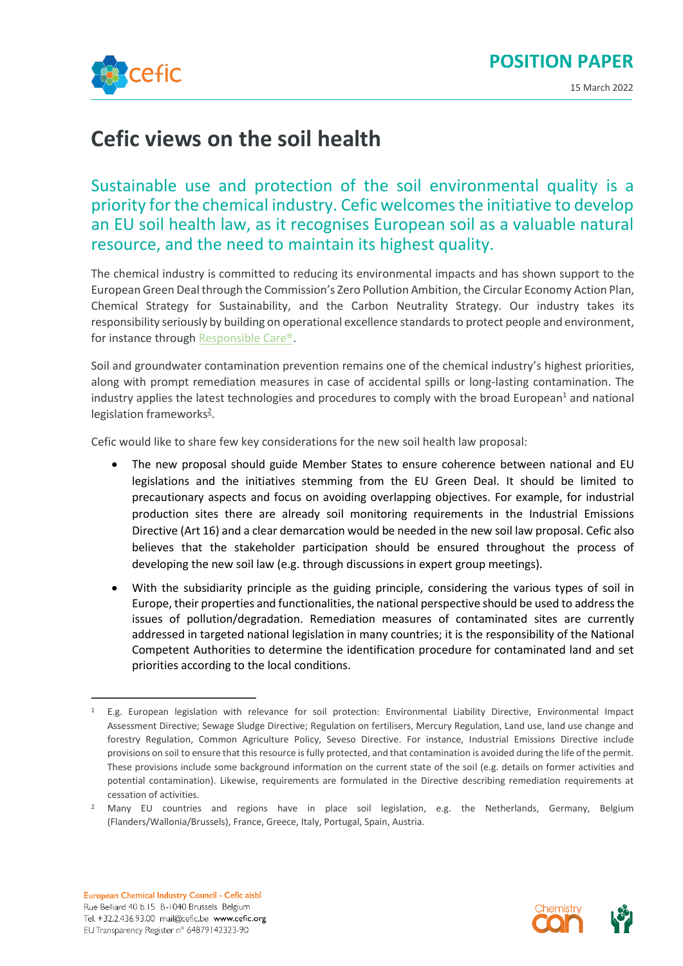



15 March 2022

## **Cefic views on the soil health**

Sustainable use and protection of the soil environmental quality is a priority for the chemical industry. Cefic welcomes the initiative to develop an EU soil health law, as it recognises European soil as a valuable natural resource, and the need to maintain its highest quality.

The chemical industry is committed to reducing its environmental impacts and has shown support to the European Green Deal through the Commission's Zero Pollution Ambition, the Circular Economy Action Plan, Chemical Strategy for Sustainability, and the Carbon Neutrality Strategy. Our industry takes its responsibility seriously by building on operational excellence standards to protect people and environment, for instance through [Responsible Care®.](https://cefic.org/app/uploads/2019/11/brochure_basic_v9.pdf)

Soil and groundwater contamination prevention remains one of the chemical industry's highest priorities, along with prompt remediation measures in case of accidental spills or long-lasting contamination. The industry applies the latest technologies and procedures to comply with the broad European<sup>1</sup> and national legislation frameworks<sup>2</sup>.

Cefic would like to share few key considerations for the new soil health law proposal:

- The new proposal should guide Member States to ensure coherence between national and EU legislations and the initiatives stemming from the EU Green Deal. It should be limited to precautionary aspects and focus on avoiding overlapping objectives. For example, for industrial production sites there are already soil monitoring requirements in the Industrial Emissions Directive (Art 16) and a clear demarcation would be needed in the new soil law proposal. Cefic also believes that the stakeholder participation should be ensured throughout the process of developing the new soil law (e.g. through discussions in expert group meetings).
- With the subsidiarity principle as the guiding principle, considering the various types of soil in Europe, their properties and functionalities, the national perspective should be used to address the issues of pollution/degradation. Remediation measures of contaminated sites are currently addressed in targeted national legislation in many countries; it is the responsibility of the National Competent Authorities to determine the identification procedure for contaminated land and set priorities according to the local conditions.



<sup>1</sup> E.g. European legislation with relevance for soil protection: Environmental Liability Directive, Environmental Impact Assessment Directive; Sewage Sludge Directive; Regulation on fertilisers, Mercury Regulation, Land use, land use change and forestry Regulation, Common Agriculture Policy, Seveso Directive. For instance, Industrial Emissions Directive include provisions on soil to ensure that this resource is fully protected, and that contamination is avoided during the life of the permit. These provisions include some background information on the current state of the soil (e.g. details on former activities and potential contamination). Likewise, requirements are formulated in the Directive describing remediation requirements at cessation of activities.

<sup>&</sup>lt;sup>2</sup> Many EU countries and regions have in place soil legislation, e.g. the Netherlands, Germany, Belgium (Flanders/Wallonia/Brussels), France, Greece, Italy, Portugal, Spain, Austria.